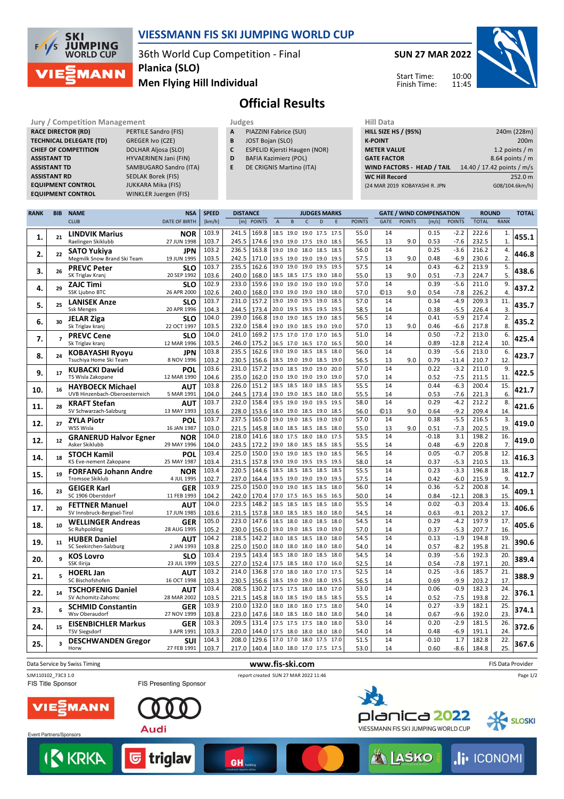

#### **VIESSMANN FIS SKI JUMPING WORLD CUP**

36th World Cup Competition - Final **Planica (SLO)**

### **Men Flying Hill Individual**



# **Official Results**

**RACE DIRECTOR (RD)** PERTILE Sandro (FIS) **TECHNICAL DELEGATE (TD)** GREGER Ivo (CZE) **CHIEF OF COMPETITION** DOLHAR Aljosa (SLO) **ASSISTANT RD** SEDLAK Borek (FIS) **EQUIPMENT CONTROL** JUKKARA Mika (FIS)

**Jury / Competition Management development development of the Judges of American Hill Data ASSISTANT TD** HYVAERINEN Jani (FIN) **ASSISTANT TD** SAMBUGARO Sandro (ITA) **EQUIPMENT CONTROL** WINKLER Juergen (FIS)

- **A** PIAZZINI Fabrice (SUI)
- **B** JOST Bojan (SLO)
- **C** ESPELID Kjersti Haugen (NOR)
- **D** BAFIA Kazimierz (POL)
- **E** DE CRIGNIS Martino (ITA)

| нш рата                           |                            |
|-----------------------------------|----------------------------|
| <b>HILL SIZE HS / (95%)</b>       | 240m (228m)                |
| <b>K-POINT</b>                    | 200 <sub>m</sub>           |
| <b>METER VALUE</b>                | 1.2 points $/m$            |
| <b>GATE FACTOR</b>                | 8.64 points $/m$           |
| <b>WIND FACTORS - HEAD / TAIL</b> | 14.40 / 17.42 points / m/s |
| <b>WC Hill Record</b>             | 252.0 m                    |
| (24 MAR 2019 KOBAYASHI R. JPN     | G08/104.6km/h)             |
|                                   |                            |

| <b>RANK</b> | <b>BIB</b>              | <b>NAME</b>                                        | <b>NSA</b>                | <b>SPEED</b>   | <b>DISTANCE</b> |                |                     |                             |              | <b>JUDGES MARKS</b>              |              |               |             | <b>GATE / WIND COMPENSATION</b> |              |                   |                | <b>ROUND</b> |       |
|-------------|-------------------------|----------------------------------------------------|---------------------------|----------------|-----------------|----------------|---------------------|-----------------------------|--------------|----------------------------------|--------------|---------------|-------------|---------------------------------|--------------|-------------------|----------------|--------------|-------|
|             |                         | <b>CLUB</b>                                        | <b>DATE OF BIRTH</b>      | [km/h]         |                 | [m] POINTS     | $\overline{A}$      | B                           | $\mathsf{C}$ | D                                | E            | <b>POINTS</b> | <b>GATE</b> | <b>POINTS</b>                   | [m/s]        | <b>POINTS</b>     | <b>TOTAL</b>   | <b>RANK</b>  |       |
|             |                         | <b>LINDVIK Marius</b>                              | <b>NOR</b>                | 103.9          | 241.5           | 169.8          |                     | 18.5 19.0 19.0 17.5         |              |                                  | 17.5         | 55.0          | 14          |                                 | 0.15         | $-2.2$            | 222.6          | 1.           |       |
| 1.          | 21                      | Raelingen Skiklubb                                 | 27 JUN 1998               | 103.7          | 245.5           | 174.6          |                     |                             |              | 19.0 19.0 17.5 19.0 18.5         |              | 56.5          | 13          | 9.0                             | 0.53         | $-7.6$            | 232.5          | $\mathbf{1}$ | 455.1 |
|             |                         | <b>SATO Yukiva</b>                                 | JPN                       | 103.2          | 236.5 163.8     |                | 19.0                | 19.0 18.0                   |              | 18.5                             | 18.5         | 56.0          | 14          |                                 | 0.25         | $-3.6$            | 216.2          | 4.           |       |
| 2.          | 22                      | Megmilk Snow Brand Ski Team                        | 19 JUN 1995               | 103.5          | 242.5           | 171.0          |                     | 19.5 19.0 19.0 19.0         |              |                                  | 19.5         | 57.5          | 13          | 9.0                             | 0.48         | $-6.9$            | 230.6          | 2.           | 446.8 |
| 3.          | 26                      | <b>PREVC Peter</b>                                 | <b>SLO</b>                | 103.7          | 235.5           | 162.6          |                     | 19.0 19.0 19.0 19.5         |              |                                  | 19.5         | 57.5          | 14          |                                 | 0.43         | $-6.2$            | 213.9          | 5.           | 438.6 |
|             |                         | SK Triglav Kranj                                   | 20 SEP 1992               | 103.6          | 240.0           | 168.0          |                     | 18.5 18.5 17.5 19.0         |              |                                  | 18.0         | 55.0          | 13          | 9.0                             | 0.51         | $-7.3$            | 224.7          | 5.           |       |
| 4.          | 29                      | <b>ZAJC Timi</b>                                   | <b>SLO</b>                | 102.9          | 233.0           | 159.6          |                     | 19.0 19.0 19.0 19.0         |              |                                  | 19.0         | 57.0          | 14          |                                 | 0.39         | $-5.6$            | 211.0          | 9.           | 437.2 |
|             |                         | SSK Ljubno BTC                                     | 26 APR 2000               | 102.6          | 240.0           | 168.0          | 19.0 19.0 19.0      |                             |              | 19.0                             | 18.0         | 57.0          | <b>©13</b>  | 9.0                             | 0.54         | $-7.8$            | 226.2          | 4.           |       |
| 5.          | 25                      | <b>LANISEK Anze</b>                                | SLO                       | 103.7          | 231.0           | 157.2          | 19.0                | 19.0                        | 19.5         | 19.0                             | 18.5         | 57.0          | 14          |                                 | 0.34         | $-4.9$            | 209.3          | 11.          | 435.7 |
|             |                         | <b>Ssk Menges</b>                                  | 20 APR 1996               | 104.3          | 244.5           | 173.4          |                     |                             |              | 20.0 19.5 19.5 19.5 19.5         |              | 58.5          | 14          |                                 | 0.38         | $-5.5$            | 226.4          | 3.           |       |
| 6.          | 30                      | <b>JELAR Ziga</b>                                  | SLO                       | 104.0          | 239.0           | 166.8          | 19.0                | 19.0                        | 18.5         | 19.0                             | 18.5         | 56.5          | 14          |                                 | 0.41         | $-5.9$            | 217.4          | 2.           | 435.2 |
|             |                         | Sk Triglav kranj                                   | 22 OCT 1997               | 103.5          | 232.0           | 158.4          |                     | 19.0 19.0 18.5 19.0         |              |                                  | 19.0         | 57.0          | 13          | 9.0                             | 0.46         | $-6.6$            | 217.8          | 8.           |       |
| 7.          | $\overline{7}$          | <b>PREVC Cene</b>                                  | <b>SLO</b>                | 104.0          | 241.0           | 169.2          |                     | 17.5 17.0 17.0 17.0         |              |                                  | 16.5         | 51.0          | 14          |                                 | 0.50         | $-7.2$            | 213.0          | 6.<br>10.    | 425.4 |
|             |                         | Sk Triglav kranj                                   | 12 MAR 1996               | 103.5<br>103.8 | 246.0<br>235.5  | 175.2<br>162.6 | 19.0                | 16.5 17.0 16.5 17.0<br>19.0 | 18.5         | 18.5                             | 16.5<br>18.0 | 50.0<br>56.0  | 14<br>14    |                                 | 0.89<br>0.39 | $-12.8$<br>$-5.6$ | 212.4<br>213.0 | 6.           |       |
| 8.          | 24                      | <b>KOBAYASHI Ryoyu</b><br>Tsuchiya Home Ski Team   | <b>JPN</b><br>8 NOV 1996  | 103.2          | 230.5           | 156.6          |                     | 18.5 19.0 19.0 18.5         |              |                                  | 19.0         | 56.5          | 13          | 9.0                             | 0.79         | -11.4             | 210.7          | 12.          | 423.7 |
|             |                         |                                                    | POL                       | 103.6          | 231.0           | 157.2          | 19.0                | 18.5                        | 19.0         | 19.0                             | 20.0         | 57.0          | 14          |                                 | 0.22         | $-3.2$            | 211.0          | 9.           |       |
| 9.          | 17                      | <b>KUBACKI Dawid</b><br>TS Wisla Zakopane          | 12 MAR 1990               | 104.6          | 235.0           | 162.0          |                     | 19.0 19.0 19.0 19.0         |              |                                  | 19.0         | 57.0          | 14          |                                 | 0.52         | $-7.5$            | 211.5          | 11.          | 422.5 |
|             |                         | <b>HAYBOECK Michael</b>                            | <b>AUT</b>                | 103.8          | 226.0           | 151.2          |                     | 18.5 18.5 18.0              |              | 18.5                             | 18.5         | 55.5          | 14          |                                 | 0.44         | $-6.3$            | 200.4          | 15.          |       |
| 10.         | 16                      | UVB Hinzenbach-Oberoesterreich                     | 5 MAR 1991                | 104.0          | 244.5           | 173.4          |                     | 19.0 19.0 18.5 18.0         |              |                                  | 18.0         | 55.5          | 14          |                                 | 0.53         | $-7.6$            | 221.3          | 6.           | 421.7 |
|             |                         | <b>KRAFT Stefan</b>                                | AUT                       | 103.7          | 232.0           | 158.4          |                     | 19.5 19.0 19.0              |              | 19.5                             | 19.5         | 58.0          | 14          |                                 | 0.29         | $-4.2$            | 212.2          | 8.           |       |
| 11.         | 28                      | SV Schwarzach-Salzburg                             | 13 MAY 1993               | 103.6          | 228.0           | 153.6          |                     | 18.0 19.0 18.5 19.0         |              |                                  | 18.5         | 56.0          | <b>©13</b>  | 9.0                             | 0.64         | $-9.2$            | 209.4          | 14.          | 421.6 |
|             | 27                      | <b>ZYLA Piotr</b>                                  | POL                       | 103.7          | 237.5           | 165.0          |                     | 19.0 19.0                   | 18.5         | 19.0                             | 19.0         | 57.0          | 14          |                                 | 0.38         | $-5.5$            | 216.5          | 3.           | 419.0 |
| 12.         |                         | WSS Wisla                                          | 16 JAN 1987               | 103.0          | 221.5           | 145.8          | 18.0 18.5           |                             | 18.5         | 18.5                             | 18.0         | 55.0          | 13          | 9.0                             | 0.51         | $-7.3$            | 202.5          | 19.          |       |
| 12.         | 12                      | <b>GRANERUD Halvor Egner</b>                       | <b>NOR</b>                | 104.0          | 218.0           | 141.6          | 18.0 17.5           |                             | 18.0         | 18.0                             | 17.5         | 53.5          | 14          |                                 | $-0.18$      | 3.1               | 198.2          | 16.          | 419.0 |
|             |                         | Asker Skiklubb                                     | 29 MAY 1996               | 104.0          | 243.5           | 172.2          |                     | 19.0 18.0 18.5 18.5         |              |                                  | 18.5         | 55.5          | 14          |                                 | 0.48         | $-6.9$            | 220.8          | 7.           |       |
| 14.         | 18                      | <b>STOCH Kamil</b>                                 | POL                       | 103.4          | 225.0           | 150.0          |                     | 19.0 19.0 18.5 19.0         |              |                                  | 18.5         | 56.5          | 14          |                                 | 0.05         | $-0.7$            | 205.8          | 12.          | 416.3 |
|             |                         | KS Eve-nement Zakopane                             | 25 MAY 1987               | 103.4          | 231.5           | 157.8          |                     | 19.0 19.0 19.5 19.5         |              |                                  | 19.5         | 58.0          | 14          |                                 | 0.37         | $-5.3$            | 210.5          | 13           |       |
| 15.         | 19                      | <b>FORFANG Johann Andre</b>                        | <b>NOR</b>                | 103.4          | 220.5           | 144.6          |                     | 18.5 18.5 18.5 18.5         |              |                                  | 18.5         | 55.5          | 14          |                                 | 0.23         | $-3.3$            | 196.8          | 18.          | 412.7 |
|             |                         | <b>Tromsoe Skiklub</b>                             | 4 JUL 1995                | 102.7<br>103.9 | 237.0<br>225.0  | 164.4<br>150.0 |                     | 19.5 19.0 19.0 19.0         |              |                                  | 19.5         | 57.5<br>56.0  | 14<br>14    |                                 | 0.42<br>0.36 | $-6.0$<br>$-5.2$  | 215.9<br>200.8 | 9.<br>14.    |       |
| 16.         | 23                      | <b>GEIGER Karl</b><br>SC 1906 Oberstdorf           | <b>GER</b><br>11 FEB 1993 | 104.2          | 242.0           | 170.4          |                     | 19.0 19.0                   | 18.5         | 18.5<br>17.0 17.5 16.5 16.5 16.5 | 18.0         | 50.0          | 14          |                                 | 0.84         | $-12.1$           | 208.3          | 15.          | 409.1 |
|             |                         | <b>FETTNER Manuel</b>                              | <b>AUT</b>                | 104.0          | 223.5           | 148.2          | 18.5                | 18.5                        | 18.5         | 18.5                             | 18.0         | 55.5          | 14          |                                 | 0.02         | $-0.3$            | 203.4          | 13.          |       |
| 17.         | 20                      | SV Innsbruck-Bergisel-Tirol                        | 17 JUN 1985               | 103.6          | 231.5           | 157.8          |                     | 18.0 18.5 18.5 18.0         |              |                                  | 18.0         | 54.5          | 14          |                                 | 0.63         | $-9.1$            | 203.2          | 17           | 406.6 |
|             |                         | <b>WELLINGER Andreas</b>                           | <b>GER</b>                | 105.0          | 223.0           | 147.6          |                     | 18.5 18.0 18.0 18.5         |              |                                  | 18.0         | 54.5          | 14          |                                 | 0.29         | $-4.2$            | 197.9          | 17.          |       |
| 18.         | 10                      | Sc Ruhpolding                                      | 28 AUG 1995               | 105.2          | 230.0           | 156.0          |                     | 19.0 19.0 18.5 19.0         |              |                                  | 19.0         | 57.0          | 14          |                                 | 0.37         | $-5.3$            | 207.7          | 16.          | 405.6 |
|             |                         | <b>HUBER Daniel</b>                                | <b>AUT</b>                | 104.2          | 218.5           | 142.2          |                     | 18.0 18.5 18.5              |              | 18.0                             | 18.0         | 54.5          | 14          |                                 | 0.13         | $-1.9$            | 194.8          | 19.          |       |
| 19.         | 11                      | SC Seekirchen-Salzburg                             | 2 JAN 1993                | 103.8          | 225.0           | 150.0          |                     | 18.0 18.0 18.0              |              | 18.0                             | 18.0         | 54.0          | 14          |                                 | 0.57         | $-8.2$            | 195.8          | 21.          | 390.6 |
| 20.         | 9                       | <b>KOS Lovro</b>                                   | SLO                       | 103.4          | 219.5           | 143.4          | 18.5                | 18.0                        | 18.0         | 18.5                             | 18.0         | 54.5          | 14          |                                 | 0.39         | $-5.6$            | 192.3          | 20.          | 389.4 |
|             |                         | SSK Ilirija                                        | 23 JUL 1999               | 103.5          | 227.0           | 152.4          |                     | 17.5 18.5 18.0 17.0         |              |                                  | 16.0         | 52.5          | 14          |                                 | 0.54         | $-7.8$            | 197.1          | 20.          |       |
| 21.         | 5                       | <b>HOERL Jan</b>                                   | <b>AUT</b>                | 103.2          | 214.0           | 136.8          | 17.0 18.0           |                             | 18.0         | 17.0                             | 17.5         | 52.5          | 14          |                                 | 0.25         | $-3.6$            | 185.7          | 21           | 388.9 |
|             |                         | SC Bischofshofen                                   | 16 OCT 1998               | 103.3          | 230.5           | 156.6          |                     | 18.5 19.0 19.0 18.0         |              |                                  | 19.5         | 56.5          | 14          |                                 | 0.69         | $-9.9$            | 203.2          | 17           |       |
| 22.         | 14                      | <b>TSCHOFENIG Daniel</b>                           | <b>AUT</b>                | 103.4          | 208.5           | 130.2          |                     | 17.5 17.5 18.0              |              | 18.0                             | 17.0         | 53.0          | 14          |                                 | 0.06         | $-0.9$            | 182.3          | 24.          | 376.1 |
|             |                         | SV Achomitz-Zahomc                                 | 28 MAR 2002               | 103.5          | 221.5           | 145.8          |                     | 18.0 18.5 19.0 18.5         |              |                                  | 18.5         | 55.5          | 14          |                                 | 0.52         | $-7.5$            | 193.8          | 22           |       |
| 23.         |                         | <b>SCHMID Constantin</b><br>Wsv Oberaudorf         | <b>GER</b><br>27 NOV 1999 | 103.9          | 210.0           | 132.0          |                     | 18.0 18.0 18.0              |              | 17.5                             | 18.0<br>18.0 | 54.0          | 14          |                                 | 0.27         | $-3.9$            | 182.1          | 25.          | 374.1 |
|             |                         |                                                    |                           | 103.8<br>103.3 | 223.0<br>209.5  | 147.6<br>131.4 | 18.0 18.5 18.0 18.0 | 17.5 17.5 17.5              |              | 18.0                             | 18.0         | 54.0<br>53.0  | 14<br>14    |                                 | 0.67<br>0.20 | $-9.6$<br>$-2.9$  | 192.0<br>181.5 | 23.<br>26.   |       |
| 24.         | 15                      | <b>EISENBICHLER Markus</b><br><b>TSV Siegsdorf</b> | <b>GER</b><br>3 APR 1991  | 103.3          | 220.0           | 144.0          |                     | 17.5 18.0 18.0              |              | 18.0                             | 18.0         | 54.0          | 14          |                                 | 0.48         | $-6.9$            | 191.1          | 24.          | 372.6 |
|             |                         | <b>DESCHWANDEN Gregor</b>                          | SUI                       | 104.3          | 208.0           | 129.6          |                     | 17.0 17.0 18.0 17.5         |              |                                  | 17.0         | 51.5          | 14          |                                 | $-0.10$      | 1.7               | 182.8          | 22.          |       |
| 25.         | $\overline{\mathbf{3}}$ | Horw                                               | 27 FEB 1991               | 103.7          | 217.0 140.4     |                |                     |                             |              | 18.0 18.0 17.0 17.5 17.5         |              | 53.0          | 14          |                                 | 0.60         | $-8.6$            | 184.8          | 25.          | 367.6 |
|             |                         |                                                    |                           |                |                 |                |                     |                             |              |                                  |              |               |             |                                 |              |                   |                |              |       |